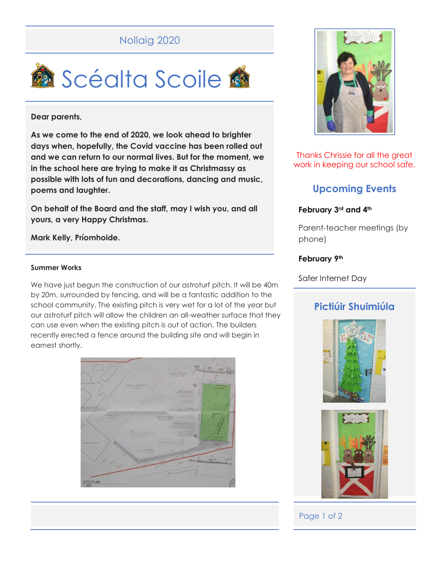# Nollaig 2020



### **Dear parents,**

**As we come to the end of 2020, we look ahead to brighter days when, hopefully, the Covid vaccine has been rolled out and we can return to our normal lives. But for the moment, we in the school here are trying to make it as Christmassy as possible with lots of fun and decorations, dancing and music, poems and laughter.** 

**On behalf of the Board and the staff, may I wish you, and all yours, a very Happy Christmas.** 

### **Mark Kelly, Príomhoide.**

#### **Summer Works**

We have just begun the construction of our astroturf pitch. It will be 40m by 20m, surrounded by fencing, and will be a fantastic addition to the school community. The existing pitch is very wet for a lot of the year but our astroturf pitch will allow the children an all-weather surface that they can use even when the existing pitch is out of action. The builders recently erected a fence around the building site and will begin in earnest shortly.





Thanks Chrissie for all the great work in keeping our school safe.

# **Upcoming Events**

### **February 3rd and 4th**

Parent-teacher meetings (by phone)

### **February 9th**

Safer Internet Day

## **Pictiúir Shuimiúla**





### Page 1 of 2